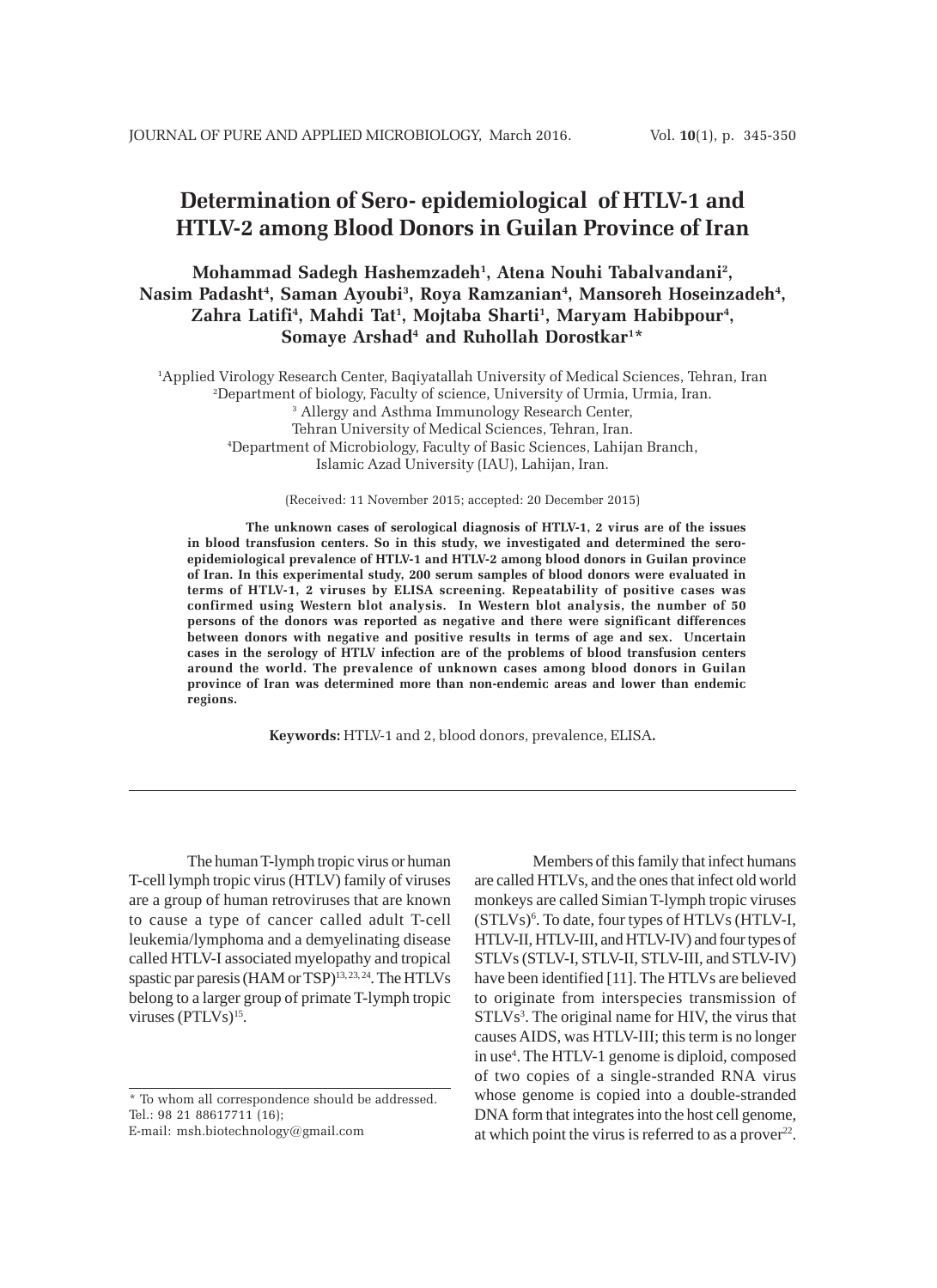# **Determination of Sero- epidemiological of HTLV-1 and HTLV-2 among Blood Donors in Guilan Province of Iran**

# **Mohammad Sadegh Hashemzadeh1 , Atena Nouhi Tabalvandani2 ,** Nasim Padasht<sup>4</sup>, Saman Ayoubi<sup>3</sup>, Roya Ramzanian<sup>4</sup>, Mansoreh Hoseinzadeh<sup>4</sup>, **Zahra Latifi4 , Mahdi Tat1 , Mojtaba Sharti1 , Maryam Habibpour4 ,** Somaye Arshad<sup>4</sup> and Ruhollah Dorostkar<sup>1\*</sup>

 Applied Virology Research Center, Baqiyatallah University of Medical Sciences, Tehran, Iran Department of biology, Faculty of science, University of Urmia, Urmia, Iran. Allergy and Asthma Immunology Research Center, Tehran University of Medical Sciences, Tehran, Iran. Department of Microbiology, Faculty of Basic Sciences, Lahijan Branch, Islamic Azad University (IAU), Lahijan, Iran.

(Received: 11 November 2015; accepted: 20 December 2015)

**The unknown cases of serological diagnosis of HTLV-1, 2 virus are of the issues in blood transfusion centers. So in this study, we investigated and determined the seroepidemiological prevalence of HTLV-1 and HTLV-2 among blood donors in Guilan province of Iran. In this experimental study, 200 serum samples of blood donors were evaluated in terms of HTLV-1, 2 viruses by ELISA screening. Repeatability of positive cases was confirmed using Western blot analysis. In Western blot analysis, the number of 50 persons of the donors was reported as negative and there were significant differences between donors with negative and positive results in terms of age and sex. Uncertain cases in the serology of HTLV infection are of the problems of blood transfusion centers around the world. The prevalence of unknown cases among blood donors in Guilan province of Iran was determined more than non-endemic areas and lower than endemic regions.**

**Keywords:** HTLV-1 and 2, blood donors, prevalence, ELISA**.**

The human T-lymph tropic virus or human T-cell lymph tropic virus (HTLV) family of viruses are a group of human retroviruses that are known to cause a type of cancer called adult T-cell leukemia/lymphoma and a demyelinating disease called HTLV-I associated myelopathy and tropical spastic par paresis (HAM or TSP)<sup>13, 23, 24</sup>. The HTLVs belong to a larger group of primate T-lymph tropic viruses (PTLVs)<sup>15</sup>.

Members of this family that infect humans are called HTLVs, and the ones that infect old world monkeys are called Simian T-lymph tropic viruses (STLVs)<sup>6</sup>. To date, four types of HTLVs (HTLV-I, HTLV-II, HTLV-III, and HTLV-IV) and four types of STLVs (STLV-I, STLV-II, STLV-III, and STLV-IV) have been identified [11]. The HTLVs are believed to originate from interspecies transmission of STLVs<sup>3</sup>. The original name for HIV, the virus that causes AIDS, was HTLV-III; this term is no longer in use<sup>4</sup>. The HTLV-1 genome is diploid, composed of two copies of a single-stranded RNA virus whose genome is copied into a double-stranded DNA form that integrates into the host cell genome, at which point the virus is referred to as a prover<sup>22</sup>.

<sup>\*</sup> To whom all correspondence should be addressed. Tel.: 98 21 88617711 (16);

E-mail: msh.biotechnology@gmail.com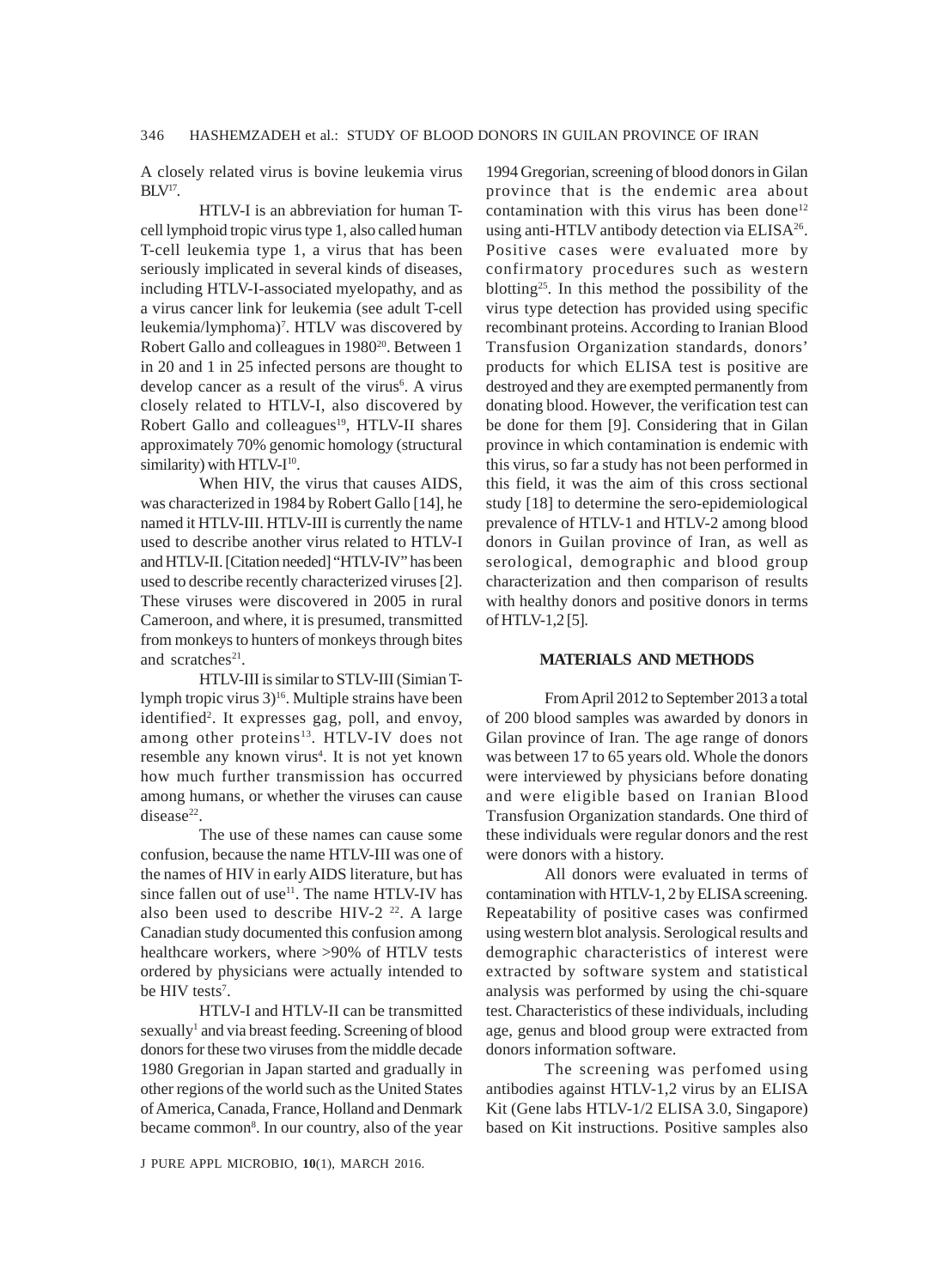A closely related virus is bovine leukemia virus  $BLV<sup>17</sup>$ .

HTLV-I is an abbreviation for human Tcell lymphoid tropic virus type 1, also called human T-cell leukemia type 1, a virus that has been seriously implicated in several kinds of diseases, including HTLV-I-associated myelopathy, and as a virus cancer link for leukemia (see adult T-cell leukemia/lymphoma)7 . HTLV was discovered by Robert Gallo and colleagues in 1980<sup>20</sup>. Between 1 in 20 and 1 in 25 infected persons are thought to develop cancer as a result of the virus<sup>6</sup>. A virus closely related to HTLV-I, also discovered by Robert Gallo and colleagues<sup>19</sup>, HTLV-II shares approximately 70% genomic homology (structural similarity) with HTLV-I<sup>10</sup>.

When HIV, the virus that causes AIDS, was characterized in 1984 by Robert Gallo [14], he named it HTLV-III. HTLV-III is currently the name used to describe another virus related to HTLV-I and HTLV-II. [Citation needed] "HTLV-IV" has been used to describe recently characterized viruses [2]. These viruses were discovered in 2005 in rural Cameroon, and where, it is presumed, transmitted from monkeys to hunters of monkeys through bites and scratches<sup>21</sup>.

HTLV-III is similar to STLV-III (Simian Tlymph tropic virus 3)<sup>16</sup>. Multiple strains have been identified<sup>2</sup>. It expresses gag, poll, and envoy, among other proteins<sup>13</sup>. HTLV-IV does not resemble any known virus<sup>4</sup>. It is not yet known how much further transmission has occurred among humans, or whether the viruses can cause disease $22$ .

The use of these names can cause some confusion, because the name HTLV-III was one of the names of HIV in early AIDS literature, but has since fallen out of use<sup>11</sup>. The name HTLV-IV has also been used to describe HIV-2  $22$ . A large Canadian study documented this confusion among healthcare workers, where >90% of HTLV tests ordered by physicians were actually intended to be HIV tests<sup>7</sup>.

HTLV-I and HTLV-II can be transmitted sexually<sup>1</sup> and via breast feeding. Screening of blood donors for these two viruses from the middle decade 1980 Gregorian in Japan started and gradually in other regions of the world such as the United States of America, Canada, France, Holland and Denmark became common<sup>8</sup>. In our country, also of the year

J PURE APPL MICROBIO*,* **10**(1), MARCH 2016.

1994 Gregorian, screening of blood donors in Gilan province that is the endemic area about contamination with this virus has been done<sup>12</sup> using anti-HTLV antibody detection via ELISA<sup>26</sup>. Positive cases were evaluated more by confirmatory procedures such as western blotting25. In this method the possibility of the virus type detection has provided using specific recombinant proteins. According to Iranian Blood Transfusion Organization standards, donors' products for which ELISA test is positive are destroyed and they are exempted permanently from donating blood. However, the verification test can be done for them [9]. Considering that in Gilan province in which contamination is endemic with this virus, so far a study has not been performed in this field, it was the aim of this cross sectional study [18] to determine the sero-epidemiological prevalence of HTLV-1 and HTLV-2 among blood donors in Guilan province of Iran, as well as serological, demographic and blood group characterization and then comparison of results with healthy donors and positive donors in terms of HTLV-1,2 [5].

#### **MATERIALS AND METHODS**

From April 2012 to September 2013 a total of 200 blood samples was awarded by donors in Gilan province of Iran. The age range of donors was between 17 to 65 years old. Whole the donors were interviewed by physicians before donating and were eligible based on Iranian Blood Transfusion Organization standards. One third of these individuals were regular donors and the rest were donors with a history.

All donors were evaluated in terms of contamination with HTLV-1, 2 by ELISA screening. Repeatability of positive cases was confirmed using western blot analysis. Serological results and demographic characteristics of interest were extracted by software system and statistical analysis was performed by using the chi-square test. Characteristics of these individuals, including age, genus and blood group were extracted from donors information software.

The screening was perfomed using antibodies against HTLV-1,2 virus by an ELISA Kit (Gene labs HTLV-1/2 ELISA 3.0, Singapore) based on Kit instructions. Positive samples also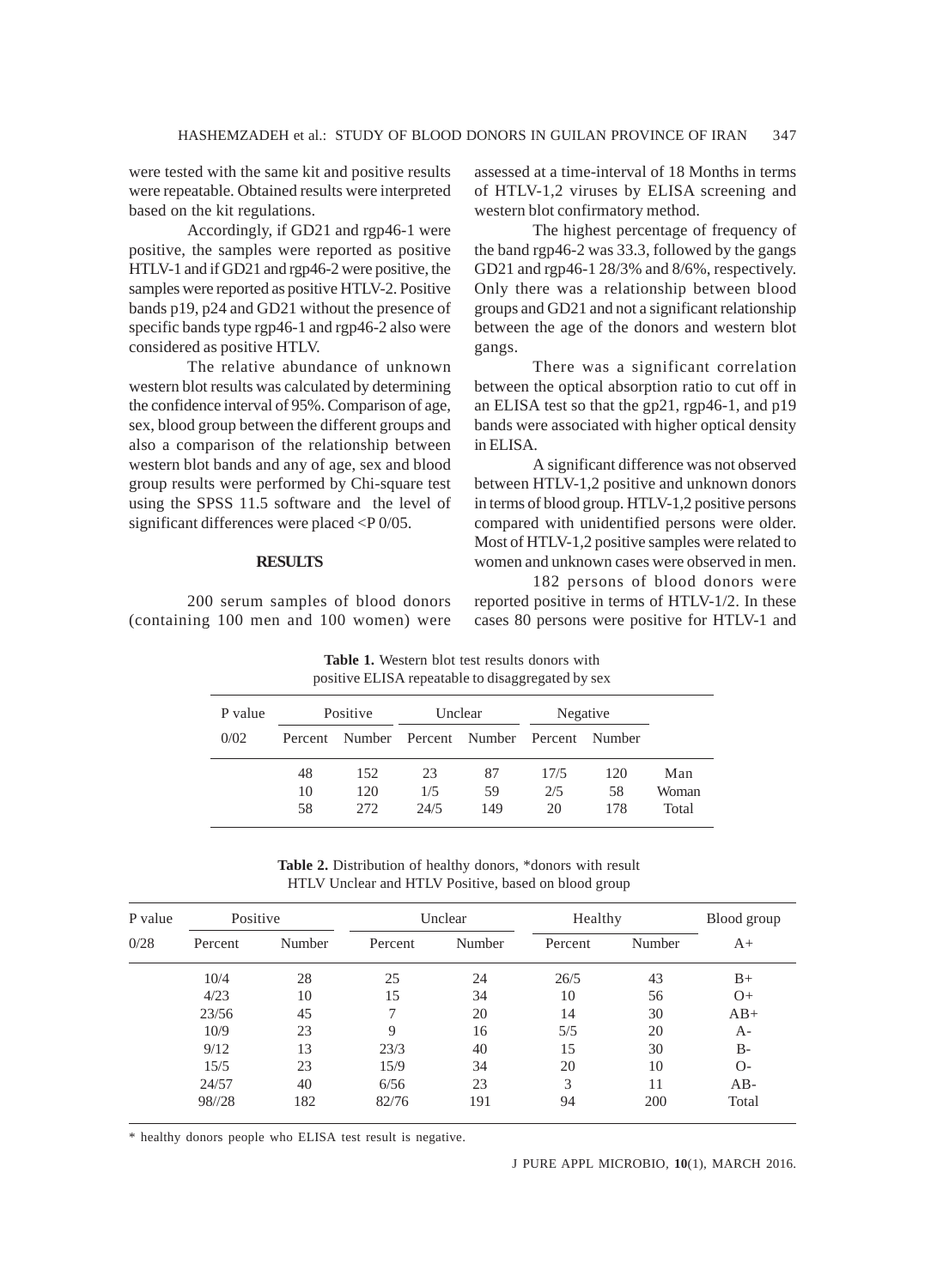were tested with the same kit and positive results were repeatable. Obtained results were interpreted based on the kit regulations.

Accordingly, if GD21 and rgp46-1 were positive, the samples were reported as positive HTLV-1 and if GD21 and rgp46-2 were positive, the samples were reported as positive HTLV-2. Positive bands p19, p24 and GD21 without the presence of specific bands type rgp46-1 and rgp46-2 also were considered as positive HTLV.

The relative abundance of unknown western blot results was calculated by determining the confidence interval of 95%. Comparison of age, sex, blood group between the different groups and also a comparison of the relationship between western blot bands and any of age, sex and blood group results were performed by Chi-square test using the SPSS 11.5 software and the level of significant differences were placed <P 0/05.

#### **RESULTS**

200 serum samples of blood donors (containing 100 men and 100 women) were assessed at a time-interval of 18 Months in terms of HTLV-1,2 viruses by ELISA screening and western blot confirmatory method.

The highest percentage of frequency of the band rgp46-2 was 33.3, followed by the gangs GD21 and rgp46-1 28/3% and 8/6%, respectively. Only there was a relationship between blood groups and GD21 and not a significant relationship between the age of the donors and western blot gangs.

There was a significant correlation between the optical absorption ratio to cut off in an ELISA test so that the gp21, rgp46-1, and p19 bands were associated with higher optical density in ELISA.

A significant difference was not observed between HTLV-1,2 positive and unknown donors in terms of blood group. HTLV-1,2 positive persons compared with unidentified persons were older. Most of HTLV-1,2 positive samples were related to women and unknown cases were observed in men.

182 persons of blood donors were reported positive in terms of HTLV-1/2. In these cases 80 persons were positive for HTLV-1 and

positive ELISA repeatable to disaggregated by sex P value Positive Unclear Negative 0/02 Percent Number Percent Number Percent Number 48 152 23 87 17/5 120 Man 10 120 1/5 59 2/5 58 Woman 58 272 24/5 149 20 178 Total

**Table 1.** Western blot test results donors with

**Table 2.** Distribution of healthy donors, \*donors with result HTLV Unclear and HTLV Positive, based on blood group

| P value<br>0/28 | Positive |        | Unclear |        | Healthy |        | Blood group |
|-----------------|----------|--------|---------|--------|---------|--------|-------------|
|                 | Percent  | Number | Percent | Number | Percent | Number | $A+$        |
|                 | 10/4     | 28     | 25      | 24     | 26/5    | 43     | $B+$        |
|                 | 4/23     | 10     | 15      | 34     | 10      | 56     | $O+$        |
|                 | 23/56    | 45     |         | 20     | 14      | 30     | $AB+$       |
|                 | 10/9     | 23     | 9       | 16     | 5/5     | 20     | A-          |
|                 | 9/12     | 13     | 23/3    | 40     | 15      | 30     | $B-$        |
|                 | 15/5     | 23     | 15/9    | 34     | 20      | 10     | $O-$        |
|                 | 24/57    | 40     | 6/56    | 23     | 3       | 11     | $AB-$       |
|                 | 98//28   | 182    | 82/76   | 191    | 94      | 200    | Total       |

\* healthy donors people who ELISA test result is negative.

J PURE APPL MICROBIO*,* **10**(1), MARCH 2016.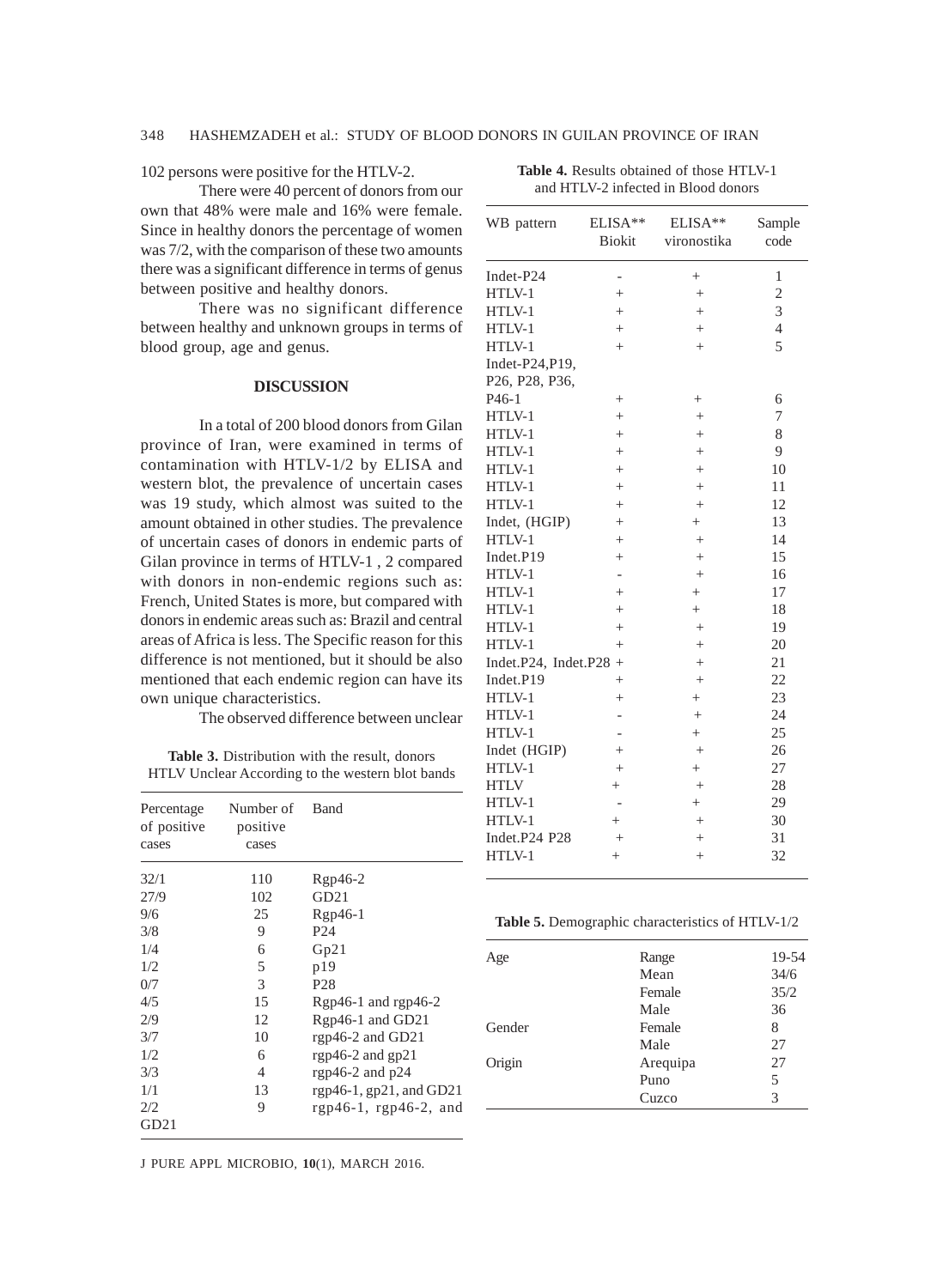102 persons were positive for the HTLV-2.

There were 40 percent of donors from our own that 48% were male and 16% were female. Since in healthy donors the percentage of women was 7/2, with the comparison of these two amounts there was a significant difference in terms of genus between positive and healthy donors.

There was no significant difference between healthy and unknown groups in terms of blood group, age and genus.

# **DISCUSSION**

In a total of 200 blood donors from Gilan province of Iran, were examined in terms of contamination with HTLV-1/2 by ELISA and western blot, the prevalence of uncertain cases was 19 study, which almost was suited to the amount obtained in other studies. The prevalence of uncertain cases of donors in endemic parts of Gilan province in terms of HTLV-1 , 2 compared with donors in non-endemic regions such as: French, United States is more, but compared with donors in endemic areas such as: Brazil and central areas of Africa is less. The Specific reason for this difference is not mentioned, but it should be also mentioned that each endemic region can have its own unique characteristics.

The observed difference between unclear

**Table 3.** Distribution with the result, donors HTLV Unclear According to the western blot bands

| Percentage<br>of positive<br>cases | Number of<br>positive<br>cases | <b>B</b> and            |
|------------------------------------|--------------------------------|-------------------------|
| 32/1                               | 110                            | $Rgp46-2$               |
| 27/9                               | 102                            | GD21                    |
| 9/6                                | 25                             | $Rgp46-1$               |
| 3/8                                | 9                              | P <sub>24</sub>         |
| 1/4                                | 6                              | Gp21                    |
| 1/2                                | 5                              | p19                     |
| 0/7                                | 3                              | P <sub>28</sub>         |
| 4/5                                | 15                             | Rgp46-1 and rgp46-2     |
| 2/9                                | 12                             | Rgp46-1 and GD21        |
| 3/7                                | 10                             | rgp46-2 and GD21        |
| 1/2                                | 6                              | rgp46-2 and $gp21$      |
| 3/3                                | 4                              | rgp46-2 and $p24$       |
| 1/1                                | 13                             | rgp46-1, gp21, and GD21 |
| 2/2<br>GD21                        | 9                              | rgp46-1, rgp46-2, and   |

J PURE APPL MICROBIO*,* **10**(1), MARCH 2016.

| WB pattern                    | ELISA**<br>Biokit        | ELISA**<br>vironostika | Sample<br>code |
|-------------------------------|--------------------------|------------------------|----------------|
| Indet-P24                     | $\overline{\phantom{0}}$ | $^{+}$                 | 1              |
| HTLV-1                        | $^{+}$                   | $^{+}$                 | $\overline{c}$ |
| HTLV-1                        | $^{+}$                   | $^{+}$                 | $\overline{3}$ |
| HTLV-1                        | $^{+}$                   | $^{+}$                 | $\overline{4}$ |
| HTLV-1                        | $^{+}$                   | $^{+}$                 | 5              |
| Indet-P24, P19,               |                          |                        |                |
| P26, P28, P36,                |                          |                        |                |
| P <sub>46</sub> -1            | $^{+}$                   | $^{+}$                 | 6              |
| HTLV-1                        | $^{+}$                   | $^{+}$                 | 7              |
| HTLV-1                        | $^{+}$                   | $^{+}$                 | 8              |
| HTLV-1                        | $^{+}$                   | $^{+}$                 | 9              |
| HTLV-1                        | $^{+}$                   | $^{+}$                 | 10             |
| HTLV-1                        | $^{+}$                   | $^{+}$                 | 11             |
| HTLV-1                        | $^{+}$                   | $^{+}$                 | 12             |
| Indet, (HGIP)                 | $^{+}$                   | $^{+}$                 | 13             |
| HTLV-1                        | $^{+}$                   | $^{+}$                 | 14             |
| Indet.P19                     | $^{+}$                   | $^{+}$                 | 15             |
| HTLV-1                        | $\overline{\phantom{a}}$ | $^{+}$                 | 16             |
| HTLV-1                        | $^{+}$                   | $^{+}$                 | 17             |
| HTLV-1                        | $^{+}$                   | $^{+}$                 | 18             |
| HTLV-1                        | $^{+}$                   | $^{+}$                 | 19             |
| HTLV-1                        | $^{+}$                   | $^{+}$                 | 20             |
| Indet. $P24$ , Indet. $P28$ + |                          | $^{+}$                 | 21             |
| Indet.P19                     | $^{+}$                   | $^{+}$                 | 22             |
| HTLV-1                        | $^{+}$                   | $^{+}$                 | 23             |
| HTLV-1                        | $\overline{\phantom{0}}$ | $^{+}$                 | 24             |
| HTLV-1                        | $\overline{\phantom{a}}$ | $^{+}$                 | 25             |
| Indet (HGIP)                  | $^{+}$                   | $^{+}$                 | 26             |
| HTLV-1                        | $^{+}$                   | $^{+}$                 | 27             |
| <b>HTLV</b>                   | $^{+}$                   | $^{+}$                 | 28             |
| HTLV-1                        | $\overline{\phantom{a}}$ | $^{+}$                 | 29             |
| HTLV-1                        | $^{+}$                   | $^{+}$                 | 30             |
| Indet.P24 P28                 | $^{+}$                   | $^{+}$                 | 31             |
| HTLV-1                        | $^{+}$                   | $\ddot{}$              | 32             |

**Table 4.** Results obtained of those HTLV-1 and HTLV-2 infected in Blood donors

| Table 5. Demographic characteristics of HTLV-1/2 |  |  |
|--------------------------------------------------|--|--|
|                                                  |  |  |

| Age    | Range    | 19-54 |
|--------|----------|-------|
|        | Mean     | 34/6  |
|        | Female   | 35/2  |
|        | Male     | 36    |
| Gender | Female   | 8     |
|        | Male     | 27    |
| Origin | Arequipa | 27    |
|        | Puno     | 5     |
|        | Cuzco    | 3     |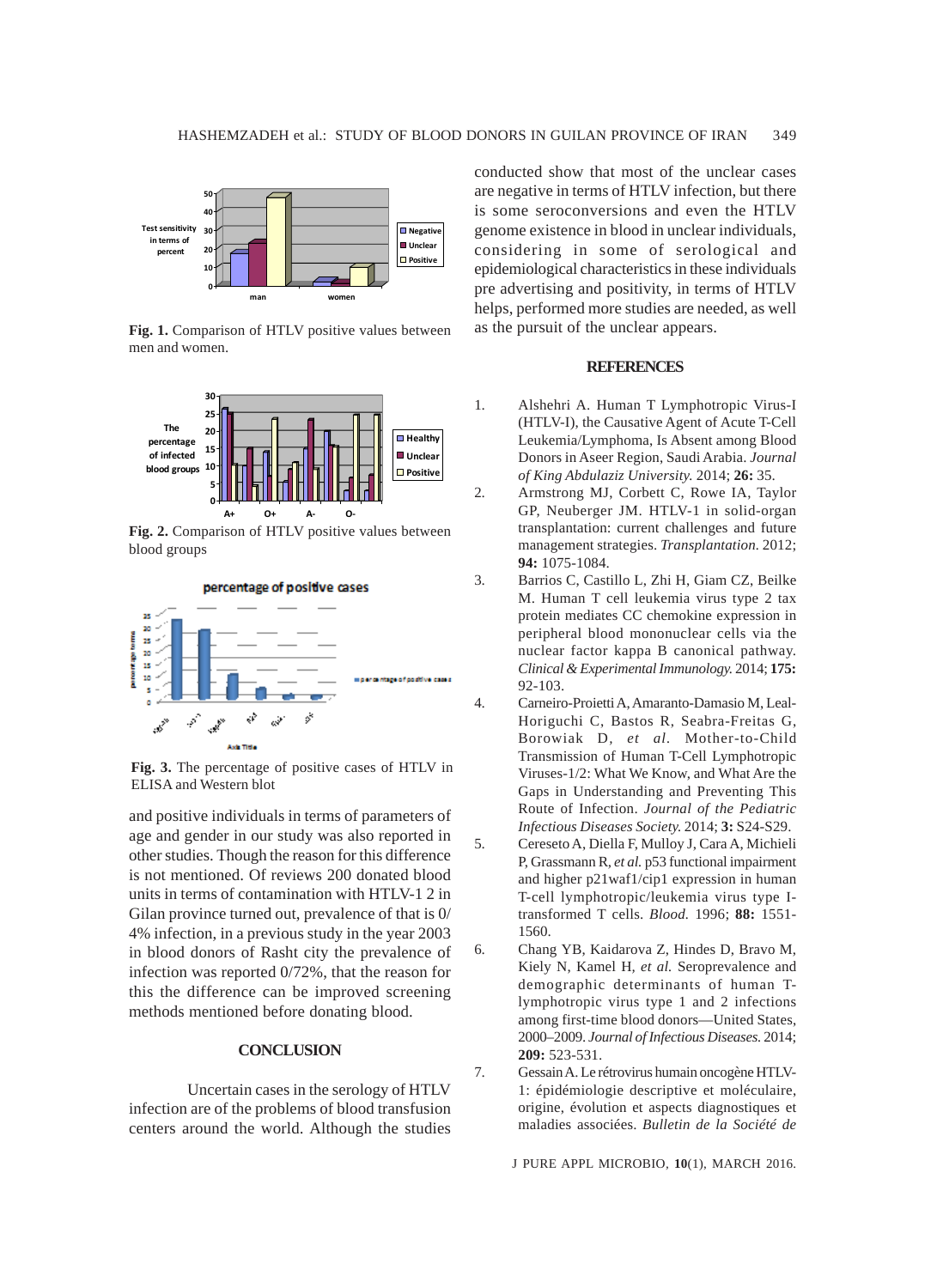

**Fig. 1.** Comparison of HTLV positive values between men and women.



**Fig. 2.** Comparison of HTLV positive values between blood groups



**Fig. 3.** The percentage of positive cases of HTLV in ELISA and Western blot

and positive individuals in terms of parameters of age and gender in our study was also reported in other studies. Though the reason for this difference is not mentioned. Of reviews 200 donated blood units in terms of contamination with HTLV-1 2 in Gilan province turned out, prevalence of that is 0/ 4% infection, in a previous study in the year 2003 in blood donors of Rasht city the prevalence of infection was reported 0/72%, that the reason for this the difference can be improved screening methods mentioned before donating blood.

#### **CONCLUSION**

Uncertain cases in the serology of HTLV infection are of the problems of blood transfusion centers around the world. Although the studies conducted show that most of the unclear cases are negative in terms of HTLV infection, but there is some seroconversions and even the HTLV genome existence in blood in unclear individuals, considering in some of serological and epidemiological characteristics in these individuals pre advertising and positivity, in terms of HTLV helps, performed more studies are needed, as well as the pursuit of the unclear appears.

# **REFERENCES**

- 1. Alshehri A. Human T Lymphotropic Virus-I (HTLV-I), the Causative Agent of Acute T-Cell Leukemia/Lymphoma, Is Absent among Blood Donors in Aseer Region, Saudi Arabia. *Journal of King Abdulaziz University.* 2014; **26:** 35.
- 2. Armstrong MJ, Corbett C, Rowe IA, Taylor GP, Neuberger JM. HTLV-1 in solid-organ transplantation: current challenges and future management strategies. *Transplantation.* 2012; **94:** 1075-1084.
- 3. Barrios C, Castillo L, Zhi H, Giam CZ, Beilke M. Human T cell leukemia virus type 2 tax protein mediates CC chemokine expression in peripheral blood mononuclear cells via the nuclear factor kappa B canonical pathway. *Clinical & Experimental Immunology.* 2014; **175:** 92-103.
- 4. Carneiro-Proietti A, Amaranto-Damasio M, Leal-Horiguchi C, Bastos R, Seabra-Freitas G, Borowiak D*, et al.* Mother-to-Child Transmission of Human T-Cell Lymphotropic Viruses-1/2: What We Know, and What Are the Gaps in Understanding and Preventing This Route of Infection. *Journal of the Pediatric Infectious Diseases Society.* 2014; **3:** S24-S29.
- 5. Cereseto A, Diella F, Mulloy J, Cara A, Michieli P, Grassmann R*, et al.* p53 functional impairment and higher p21waf1/cip1 expression in human T-cell lymphotropic/leukemia virus type Itransformed T cells. *Blood.* 1996; **88:** 1551- 1560.
- 6. Chang YB, Kaidarova Z, Hindes D, Bravo M, Kiely N, Kamel H*, et al.* Seroprevalence and demographic determinants of human Tlymphotropic virus type 1 and 2 infections among first-time blood donors—United States, 2000–2009. *Journal of Infectious Diseases.* 2014; **209:** 523-531.
- 7. Gessain A. Le rétrovirus humain oncogène HTLV-1: épidémiologie descriptive et moléculaire, origine, évolution et aspects diagnostiques et maladies associées. *Bulletin de la Société de*

J PURE APPL MICROBIO*,* **10**(1), MARCH 2016.